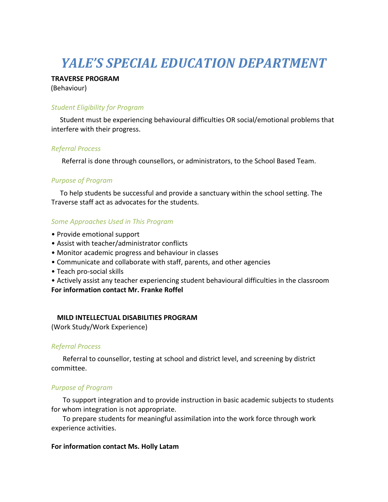# *YALE'S SPECIAL EDUCATION DEPARTMENT*

#### **TRAVERSE PROGRAM**

(Behaviour)

## *Student Eligibility for Program*

 Student must be experiencing behavioural difficulties OR social/emotional problems that interfere with their progress.

## *Referral Process*

Referral is done through counsellors, or administrators, to the School Based Team.

## *Purpose of Program*

 To help students be successful and provide a sanctuary within the school setting. The Traverse staff act as advocates for the students.

## *Some Approaches Used in This Program*

- Provide emotional support
- Assist with teacher/administrator conflicts
- Monitor academic progress and behaviour in classes
- Communicate and collaborate with staff, parents, and other agencies
- Teach pro-social skills
- Actively assist any teacher experiencing student behavioural difficulties in the classroom

#### **For information contact Mr. Franke Roffel**

## **MILD INTELLECTUAL DISABILITIES PROGRAM**

(Work Study/Work Experience)

#### *Referral Process*

Referral to counsellor, testing at school and district level, and screening by district committee.

## *Purpose of Program*

To support integration and to provide instruction in basic academic subjects to students for whom integration is not appropriate.

To prepare students for meaningful assimilation into the work force through work experience activities.

## **For information contact Ms. Holly Latam**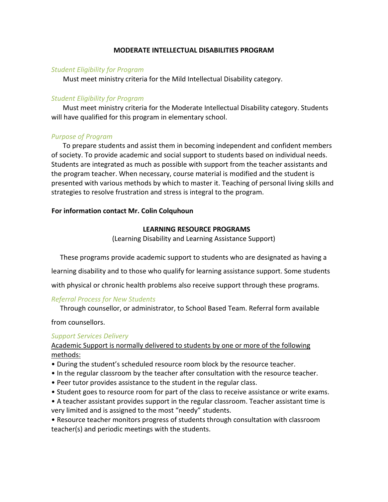### **MODERATE INTELLECTUAL DISABILITIES PROGRAM**

#### *Student Eligibility for Program*

Must meet ministry criteria for the Mild Intellectual Disability category.

#### *Student Eligibility for Program*

Must meet ministry criteria for the Moderate Intellectual Disability category. Students will have qualified for this program in elementary school.

## *Purpose of Program*

To prepare students and assist them in becoming independent and confident members of society. To provide academic and social support to students based on individual needs. Students are integrated as much as possible with support from the teacher assistants and the program teacher. When necessary, course material is modified and the student is presented with various methods by which to master it. Teaching of personal living skills and strategies to resolve frustration and stress is integral to the program.

#### **For information contact Mr. Colin Colquhoun**

#### **LEARNING RESOURCE PROGRAMS**

(Learning Disability and Learning Assistance Support)

These programs provide academic support to students who are designated as having a

learning disability and to those who qualify for learning assistance support. Some students

with physical or chronic health problems also receive support through these programs.

## *Referral Process for New Students*

Through counsellor, or administrator, to School Based Team. Referral form available

from counsellors.

## *Support Services Delivery*

## Academic Support is normally delivered to students by one or more of the following methods:

- During the student's scheduled resource room block by the resource teacher.
- In the regular classroom by the teacher after consultation with the resource teacher.
- Peer tutor provides assistance to the student in the regular class.
- Student goes to resource room for part of the class to receive assistance or write exams.
- A teacher assistant provides support in the regular classroom. Teacher assistant time is very limited and is assigned to the most "needy" students.

• Resource teacher monitors progress of students through consultation with classroom teacher(s) and periodic meetings with the students.